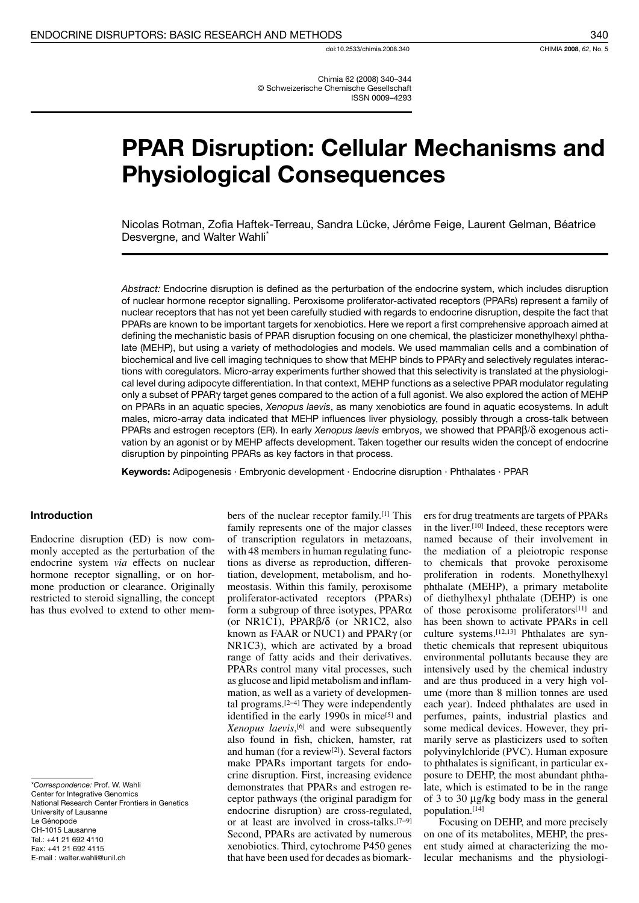# **PPAR Disruption: Cellular Mechanisms and Physiological Consequences**

Nicolas Rotman, Zofia Haftek-Terreau, Sandra Lücke, Jérôme Feige, Laurent Gelman, Béatrice Desvergne, and Walter Wahli

Abstract: Endocrine disruption is defined as the perturbation of the endocrine system, which includes disruption of nuclear hormone receptor signalling. Peroxisome proliferator-activated receptors (PPARs) represent a family of nuclear receptors that has not yet been carefully studied with regards to endocrine disruption, despite the fact that PPARs are known to be important targets for xenobiotics. Here we report a first comprehensive approach aimed at defining the mechanistic basis of PPAR disruption focusing on one chemical, the plasticizer monethylhexyl phthalate (MEHP), but using a variety of methodologies and models. We used mammalian cells and a combination of biochemical and live cell imaging techniques to show that MEHP binds to PPAR $\gamma$  and selectively regulates interactions with coregulators. Micro-array experiments further showed that this selectivity is translated at the physiological level during adipocyte differentiation. In that context, MEHP functions as a selective PPAR modulator regulating only a subset of PPARy target genes compared to the action of a full agonist. We also explored the action of MEHP on PPARs in an aquatic species, Xenopus laevis, as many xenobiotics are found in aquatic ecosystems. In adult males, micro-array data indicated that MEHP influences liver physiology, possibly through a cross-talk between PPARs and estrogen receptors (ER). In early Xenopus laevis embryos, we showed that PPAR $\beta/\delta$  exogenous activation by an agonist or by MEHP affects development. Taken together our results widen the concept of endocrine disruption by pinpointing PPARs as key factors in that process.

Keywords: Adipogenesis · Embryonic development · Endocrine disruption · Phthalates · PPAR

#### **Introduction**

Endocrine disruption (ED) is now commonly accepted as the perturbation of the endocrine system via effects on nuclear hormone receptor signalling, or on hormone production or clearance. Originally restricted to steroid signalling, the concept has thus evolved to extend to other mem-

\*Correspondence: Prof. W. Wahli Center for Integrative Genomics National Research Center Frontiers in Genetics University of Lausanne Le Génopode CH-1015 Lausanne Tel.: +41 21 692 4110 Fax: +41 21 692 4115 E-mail: walter.wahli@unil.ch

bers of the nuclear receptor family.<sup>[1]</sup> This family represents one of the major classes of transcription regulators in metazoans, with 48 members in human regulating functions as diverse as reproduction, differentiation, development, metabolism, and homeostasis. Within this family, peroxisome proliferator-activated receptors (PPARs) form a subgroup of three isotypes,  $PPAR\alpha$ (or NR1C1), PPAR $\beta/\delta$  (or NR1C2, also known as FAAR or NUC1) and PPARγ (or NR1C3), which are activated by a broad range of fatty acids and their derivatives. PPARs control many vital processes, such as glucose and lipid metabolism and inflammation, as well as a variety of developmental programs.  $[2-4]$  They were independently identified in the early 1990s in mice<sup>[5]</sup> and Xenopus laevis,<sup>[6]</sup> and were subsequently also found in fish, chicken, hamster, rat and human (for a review<sup>[2]</sup>). Several factors make PPARs important targets for endocrine disruption. First, increasing evidence demonstrates that PPARs and estrogen receptor pathways (the original paradigm for endocrine disruption) are cross-regulated, or at least are involved in cross-talks.  $[7-9]$ Second, PPARs are activated by numerous xenobiotics. Third, cytochrome P450 genes that have been used for decades as biomark-

ers for drug treatments are targets of PPARs in the liver.[10] Indeed, these receptors were named because of their involvement in the mediation of a pleiotropic response to chemicals that provoke peroxisome proliferation in rodents. Monethylhexyl phthalate (MEHP), a primary metabolite of diethylhexyl phthalate (DEHP) is one of those peroxisome proliferators[11] and has been shown to activate PPARs in cell culture systems.<sup>[12,13]</sup> Phthalates are synthetic chemicals that represent ubiquitous environmental pollutants because they are intensively used by the chemical industry and are thus produced in a very high volume (more than 8 million tonnes are used each year). Indeed phthalates are used in perfumes, paints, industrial plastics and some medical devices. However, they primarily serve as plasticizers used to soften polyvinylchloride (PVC). Human exposure to phthalates is significant, in particular exposure to DEHP, the most abundant phthalate, which is estimated to be in the range of 3 to 30  $\mu$ g/kg body mass in the general population.<sup>[14]</sup>

Focusing on DEHP, and more precisely on one of its metabolites, MEHP, the present study aimed at characterizing the molecular mechanisms and the physiologi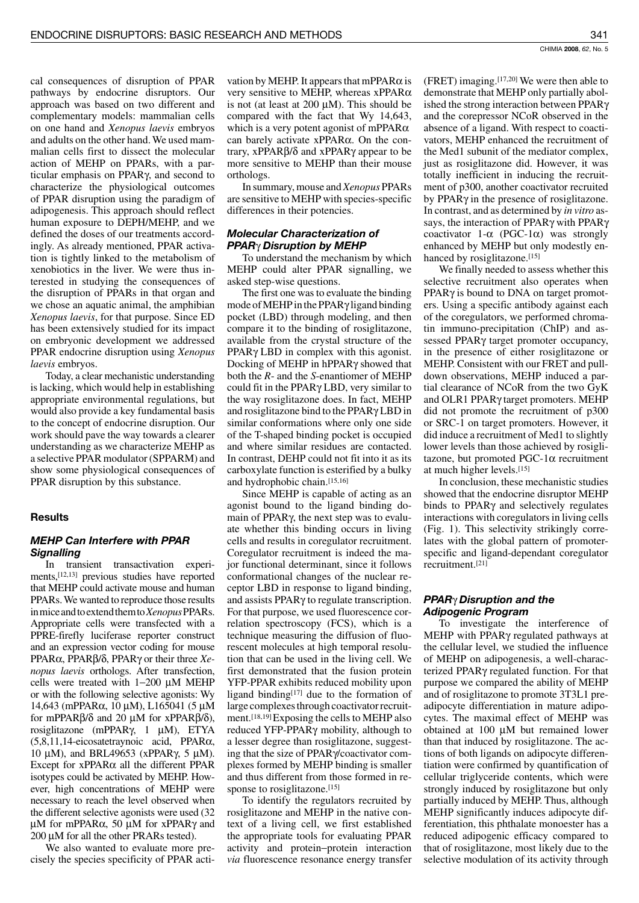cal consequences of disruption of PPAR pathways by endocrine disruptors. Our approach was based on two different and complementary models: mammalian cells on one hand and *Xenopus laevis* embryos and adults on the other hand. We used mammalian cells first to dissect the molecular action of MEHP on PPARs, with a particular emphasis on PPAR $\gamma$ , and second to characterize the physiological outcomes of PPAR disruption using the paradigm of adipogenesis. This approach should reflect human exposure to DEPH/MEHP, and we defined the doses of our treatments accordingly. As already mentioned, PPAR activation is tightly linked to the metabolism of xenobiotics in the liver. We were thus interested in studying the consequences of the disruption of PPARs in that organ and we chose an aquatic animal, the amphibian *Xenopus laevis*, for that purpose. Since ED has been extensively studied for its impact on embryonic development we addressed PPAR endocrine disruption using Xenopus *laevis* embryos.

Today, a clear mechanistic understanding is lacking, which would help in establishing appropriate environmental regulations, but would also provide a key fundamental basis to the concept of endocrine disruption. Our work should pave the way towards a clearer understanding as we characterize MEHP as a selective PPAR modulator (SPPARM) and show some physiological consequences of PPAR disruption by this substance.

#### **Results**

#### **MEHP Can Interfere with PPAR Signalling**

In transient transactivation experiments, [12,13] previous studies have reported that MEHP could activate mouse and human PPARs. We wanted to reproduce those results in mice and to extend them to Xenopus PPARs. Appropriate cells were transfected with a PPRE-firefly luciferase reporter construct and an expression vector coding for mouse PPARα, PPARβ/δ, PPARγ or their three Xenopus laevis orthologs. After transfection, cells were treated with  $1-200 \mu M$  MEHP or with the following selective agonists: Wy 14,643 (mPPARα, 10 μM), L165041 (5 μM for mPPAR $\beta$ / $\delta$  and 20  $\mu$ M for xPPAR $\beta$ / $\delta$ ), rosiglitazone (mPPAR $\gamma$ , 1  $\mu$ M), ETYA  $(5,8,11,14$ -eicosatetraynoic acid, PPAR $\alpha$ , 10 μM), and BRL49653 (xPPARγ, 5 μM). Except for  $xPPAR\alpha$  all the different PPAR isotypes could be activated by MEHP. However, high concentrations of MEHP were necessary to reach the level observed when the different selective agonists were used (32) μM for mPPARα, 50 μM for xPPARγ and  $200 \mu M$  for all the other PRARs tested).

We also wanted to evaluate more precisely the species specificity of PPAR activation by MEHP. It appears that mPPAR $\alpha$  is very sensitive to MEHP, whereas  $xPPAR\alpha$ is not (at least at  $200 \mu M$ ). This should be compared with the fact that Wy 14,643, which is a very potent agonist of mPPAR $\alpha$ can barely activate xPPARα. On the contrary, xPPAR $\beta$ / $\delta$  and xPPAR $\gamma$  appear to be more sensitive to MEHP than their mouse orthologs.

In summary, mouse and Xenopus PPARs are sensitive to MEHP with species-specific differences in their potencies.

#### **Molecular Characterization of PPAR<sub>Y</sub>** Disruption by MEHP

To understand the mechanism by which MEHP could alter PPAR signalling, we asked step-wise questions.

The first one was to evaluate the binding mode of MEHP in the PPAR $\gamma$  ligand binding pocket (LBD) through modeling, and then compare it to the binding of rosiglitazone, available from the crystal structure of the  $PPAR\gamma LBD$  in complex with this agonist. Docking of MEHP in hPPARy showed that both the  $R$ - and the S-enantiomer of MEHP could fit in the PPAR $\gamma$  LBD, very similar to the way rosiglitazone does. In fact, MEHP and rosiglitazone bind to the PPAR $\gamma$  LBD in similar conformations where only one side of the T-shaped binding pocket is occupied and where similar residues are contacted. In contrast, DEHP could not fit into it as its carboxylate function is esterified by a bulky and hydrophobic chain.[15,16]

Since MEHP is capable of acting as an agonist bound to the ligand binding domain of PPAR $\gamma$ , the next step was to evaluate whether this binding occurs in living cells and results in coregulator recruitment. Coregulator recruitment is indeed the major functional determinant, since it follows conformational changes of the nuclear receptor LBD in response to ligand binding, and assists PPARy to regulate transcription. For that purpose, we used fluorescence correlation spectroscopy (FCS), which is a technique measuring the diffusion of fluorescent molecules at high temporal resolution that can be used in the living cell. We first demonstrated that the fusion protein YFP-PPAR exhibits reduced mobility upon ligand binding $[17]$  due to the formation of large complexes through coactivator recruitment.[18,19] Exposing the cells to MEHP also reduced YFP-PPARy mobility, although to a lesser degree than rosiglitazone, suggesting that the size of PPAR $\gamma$ /coactivator complexes formed by MEHP binding is smaller and thus different from those formed in response to rosiglitazone.[15]

To identify the regulators recruited by rosiglitazone and MEHP in the native context of a living cell, we first established the appropriate tools for evaluating PPAR activity and protein-protein interaction via fluorescence resonance energy transfer

(FRET) imaging.[17,20] We were then able to demonstrate that MEHP only partially abolished the strong interaction between PPAR $\gamma$ and the corepressor NCoR observed in the absence of a ligand. With respect to coactivators, MEHP enhanced the recruitment of the Med1 subunit of the mediator complex, just as rosiglitazone did. However, it was totally inefficient in inducing the recruitment of p300, another coactivator recruited by PPARγ in the presence of rosiglitazone. In contrast, and as determined by in vitro assays, the interaction of PPARy with PPARy coactivator 1- $\alpha$  (PGC-1 $\alpha$ ) was strongly enhanced by MEHP but only modestly enhanced by rosiglitazone.[15]

We finally needed to assess whether this selective recruitment also operates when PPARy is bound to DNA on target promoters. Using a specific antibody against each of the coregulators, we performed chromatin immuno-precipitation (ChIP) and assessed PPARy target promoter occupancy, in the presence of either rosiglitazone or MEHP. Consistent with our FRET and pulldown observations, MEHP induced a partial clearance of NCoR from the two GyK and OLR1 PPARy target promoters. MEHP did not promote the recruitment of p300 or SRC-1 on target promoters. However, it did induce a recruitment of Med1 to slightly lower levels than those achieved by rosiglitazone, but promoted  $PGC-1\alpha$  recruitment at much higher levels.[15]

In conclusion, these mechanistic studies showed that the endocrine disruptor MEHP binds to PPAR $\gamma$  and selectively regulates interactions with coregulators in living cells (Fig. 1). This selectivity strikingly correlates with the global pattern of promoterspecific and ligand-dependant coregulator recruitment.[21]

#### $PPAR<sub>Y</sub>$  Disruption and the **Adipogenic Program**

To investigate the interference of MEHP with PPARy regulated pathways at the cellular level, we studied the influence of MEHP on adipogenesis, a well-characterized PPARγ regulated function. For that purpose we compared the ability of MEHP and of rosiglitazone to promote 3T3L1 preadipocyte differentiation in mature adipocytes. The maximal effect of MEHP was obtained at 100 µM but remained lower than that induced by rosiglitazone. The actions of both ligands on adipocyte differentiation were confirmed by quantification of cellular triglyceride contents, which were strongly induced by rosiglitazone but only partially induced by MEHP. Thus, although MEHP significantly induces adipocyte differentiation, this phthalate monoester has a reduced adipogenic efficacy compared to that of rosiglitazone, most likely due to the selective modulation of its activity through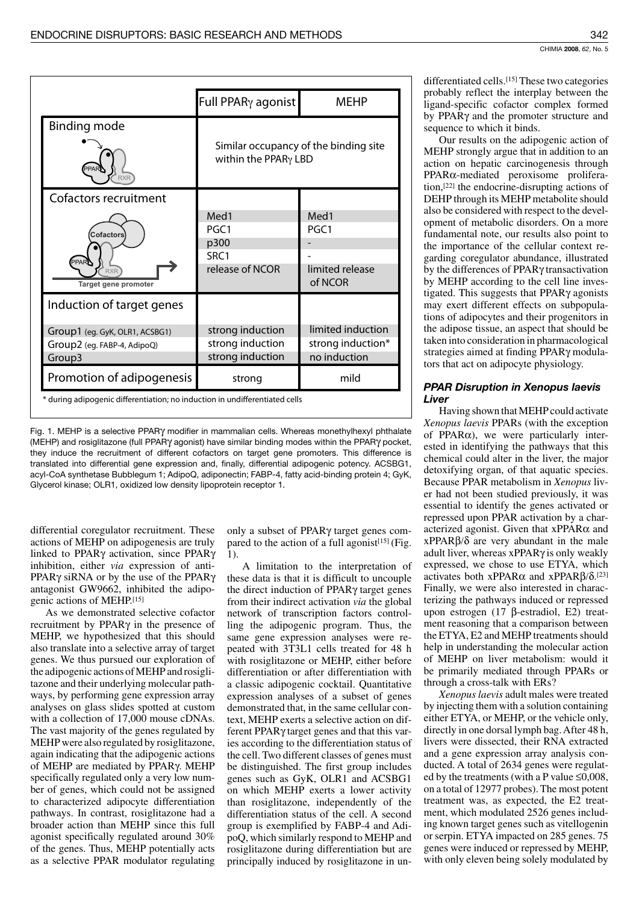|                                                                                                      | Full PPAR <sub>Y</sub> agonist                                            | <b>MEHP</b>                                            |
|------------------------------------------------------------------------------------------------------|---------------------------------------------------------------------------|--------------------------------------------------------|
| <b>Binding mode</b><br>PPAR<br><b>RXR</b>                                                            | Similar occupancy of the binding site<br>within the PPAR <sub>Y</sub> LBD |                                                        |
| Cofactors recruitment<br>Cofactors<br>PPAR<br>RXR <sup>1</sup><br>Target gene promoter               | Med1<br>PGC <sub>1</sub><br>p300<br>SRC1<br>release of NCOR               | Med1<br>PGC <sub>1</sub><br>limited release<br>of NCOR |
| Induction of target genes<br>Group1 (eg. GyK, OLR1, ACSBG1)<br>Group2 (eg. FABP-4, AdipoQ)<br>Group3 | strong induction<br>strong induction<br>strong induction                  | limited induction<br>strong induction*<br>no induction |
| Promotion of adipogenesis                                                                            | strong                                                                    | mild                                                   |

Fig. 1. MEHP is a selective PPARY modifier in mammalian cells. Whereas monethylhexyl phthalate (MEHP) and rosiglitazone (full PPARY agonist) have similar binding modes within the PPARY pocket, they induce the recruitment of different cofactors on target gene promoters. This difference is translated into differential gene expression and, finally, differential adipogenic potency. ACSBG1, acyl-CoA synthetase Bubblegum 1; AdipoQ, adiponectin; FABP-4, fatty acid-binding protein 4; GyK, Glycerol kinase; OLR1, oxidized low density lipoprotein receptor 1.

differential coregulator recruitment. These actions of MEHP on adipogenesis are truly linked to PPAR $\gamma$  activation, since PPAR $\gamma$ inhibition, either via expression of anti-PPARy siRNA or by the use of the PPARy antagonist GW9662, inhibited the adipogenic actions of MEHP.[15]

As we demonstrated selective cofactor recruitment by  $PPAR\gamma$  in the presence of MEHP, we hypothesized that this should also translate into a selective array of target genes. We thus pursued our exploration of the adipogenic actions of MEHP and rosiglitazone and their underlying molecular pathways, by performing gene expression array analyses on glass slides spotted at custom with a collection of 17,000 mouse cDNAs. The vast majority of the genes regulated by MEHP were also regulated by rosiglitazone, again indicating that the adipogenic actions of MEHP are mediated by PPAR $\gamma$ . MEHP specifically regulated only a very low number of genes, which could not be assigned to characterized adipocyte differentiation pathways. In contrast, rosiglitazone had a broader action than MEHP since this full agonist specifically regulated around 30% of the genes. Thus, MEHP potentially acts as a selective PPAR modulator regulating only a subset of PPARγ target genes compared to the action of a full agonist<sup>[15]</sup> (Fig. 1).

A limitation to the interpretation of these data is that it is difficult to uncouple the direct induction of PPARγ target genes from their indirect activation *via* the global network of transcription factors controlling the adipogenic program. Thus, the same gene expression analyses were repeated with 3T3L1 cells treated for 48 h with rosiglitazone or MEHP, either before differentiation or after differentiation with a classic adipogenic cocktail. Quantitative expression analyses of a subset of genes demonstrated that, in the same cellular context, MEHP exerts a selective action on different PPAR $\gamma$  target genes and that this varies according to the differentiation status of the cell. Two different classes of genes must be distinguished. The first group includes genes such as GyK, OLR1 and ACSBG1 on which MEHP exerts a lower activity than rosiglitazone, independently of the differentiation status of the cell. A second group is exemplified by FABP-4 and AdipoQ, which similarly respond to MEHP and rosiglitazone during differentiation but are principally induced by rosiglitazone in undifferentiated cells.[15] These two categories probably reflect the interplay between the ligand-specific cofactor complex formed by PPAR $\gamma$  and the promoter structure and sequence to which it binds.

Our results on the adipogenic action of MEHP strongly argue that in addition to an action on hepatic carcinogenesis through  $PPAR\alpha$ -mediated peroxisome proliferation,  $[22]$  the endocrine-disrupting actions of DEHP through its MEHP metabolite should also be considered with respect to the development of metabolic disorders. On a more fundamental note, our results also point to the importance of the cellular context regarding coregulator abundance, illustrated by the differences of PPARy transactivation by MEHP according to the cell line investigated. This suggests that PPARy agonists may exert different effects on subpopulations of adipocytes and their progenitors in the adipose tissue, an aspect that should be taken into consideration in pharmacological strategies aimed at finding PPAR $\gamma$  modulators that act on adipocyte physiology.

# **PPAR Disruption in Xenopus laevis** Liver

Having shown that MEHP could activate Xenopus laevis PPARs (with the exception of PPAR $\alpha$ ), we were particularly interested in identifying the pathways that this chemical could alter in the liver, the major detoxifying organ, of that aquatic species. Because PPAR metabolism in Xenopus liver had not been studied previously, it was essential to identify the genes activated or repressed upon PPAR activation by a characterized agonist. Given that  $xPPAR\alpha$  and  $xPPAR\beta/\delta$  are very abundant in the male adult liver, whereas  $xPPAR\gamma$  is only weakly expressed, we chose to use ETYA, which activates both xPPAR $\alpha$  and xPPAR $\beta/\delta$ .[23] Finally, we were also interested in characterizing the pathways induced or repressed upon estrogen (17  $\beta$ -estradiol, E2) treatment reasoning that a comparison between the ETYA, E2 and MEHP treatments should help in understanding the molecular action of MEHP on liver metabolism: would it be primarily mediated through PPARs or through a cross-talk with ERs?

Xenopus laevis adult males were treated by injecting them with a solution containing either ETYA, or MEHP, or the vehicle only, directly in one dorsal lymph bag. After 48 h, livers were dissected, their RNA extracted and a gene expression array analysis conducted. A total of 2634 genes were regulated by the treatments (with a P value  $\leq 0.008$ , on a total of 12977 probes). The most potent treatment was, as expected, the E2 treatment, which modulated 2526 genes including known target genes such as vitellogenin or serpin. ETYA impacted on 285 genes. 75 genes were induced or repressed by MEHP, with only eleven being solely modulated by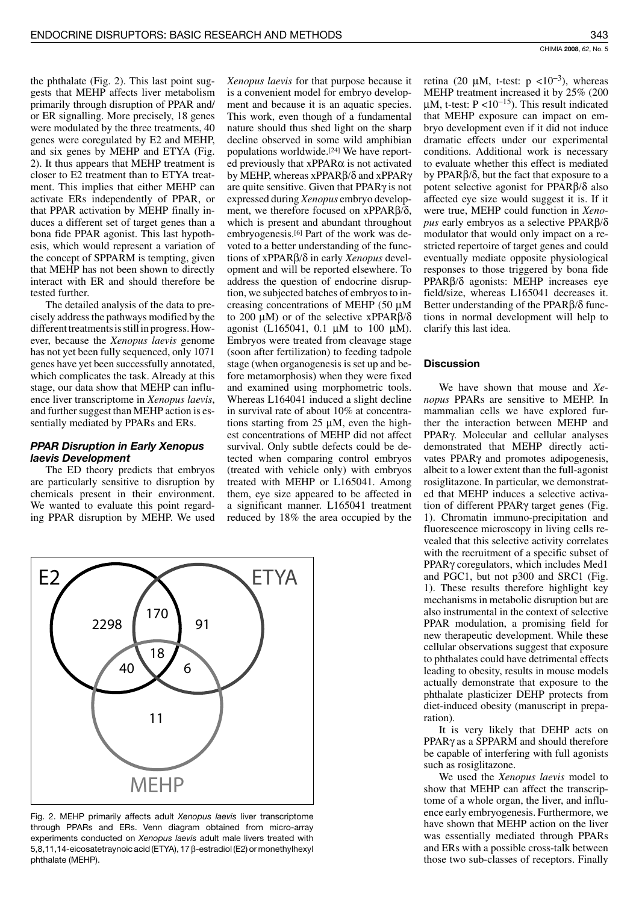the phthalate (Fig. 2). This last point suggests that MEHP affects liver metabolism primarily through disruption of PPAR and/ or ER signalling. More precisely, 18 genes were modulated by the three treatments, 40 genes were coregulated by E2 and MEHP, and six genes by MEHP and ETYA (Fig. 2). It thus appears that MEHP treatment is closer to E2 treatment than to ETYA treatment. This implies that either MEHP can activate ERs independently of PPAR, or that PPAR activation by MEHP finally induces a different set of target genes than a bona fide PPAR agonist. This last hypothesis, which would represent a variation of the concept of SPPARM is tempting, given that MEHP has not been shown to directly interact with ER and should therefore be tested further.

The detailed analysis of the data to precisely address the pathways modified by the different treatments is still in progress. However, because the Xenopus laevis genome has not yet been fully sequenced, only 1071 genes have yet been successfully annotated, which complicates the task. Already at this stage, our data show that MEHP can influence liver transcriptome in Xenopus laevis, and further suggest than MEHP action is essentially mediated by PPARs and ERs.

## **PPAR Disruption in Early Xenopus** laevis Development

The ED theory predicts that embryos are particularly sensitive to disruption by chemicals present in their environment. We wanted to evaluate this point regarding PPAR disruption by MEHP. We used

Xenopus laevis for that purpose because it is a convenient model for embryo development and because it is an aquatic species. This work, even though of a fundamental nature should thus shed light on the sharp decline observed in some wild amphibian populations worldwide.<sup>[24]</sup> We have reported previously that  $xPPAR\alpha$  is not activated by MEHP, whereas  $xPPAR\beta/\delta$  and  $xPPAR\gamma$ are quite sensitive. Given that  $PPAR\gamma$  is not expressed during Xenopus embryo development, we therefore focused on  $xPPAR\beta/\delta$ , which is present and abundant throughout embryogenesis.<sup>[6]</sup> Part of the work was devoted to a better understanding of the functions of  $xPPAR\beta/\delta$  in early *Xenopus* development and will be reported elsewhere. To address the question of endocrine disruption, we subjected batches of embryos to increasing concentrations of MEHP  $(50 \mu M)$ to 200  $\mu$ M) or of the selective xPPAR $\beta/\delta$ agonist (L165041, 0.1 µM to 100 µM). Embryos were treated from cleavage stage (soon after fertilization) to feeding tadpole stage (when organogenesis is set up and before metamorphosis) when they were fixed and examined using morphometric tools. Whereas L164041 induced a slight decline in survival rate of about 10% at concentrations starting from  $25 \mu M$ , even the highest concentrations of MEHP did not affect survival. Only subtle defects could be detected when comparing control embryos (treated with vehicle only) with embryos treated with MEHP or L165041. Among them, eye size appeared to be affected in a significant manner. L165041 treatment reduced by 18% the area occupied by the



Fig. 2. MEHP primarily affects adult Xenopus laevis liver transcriptome through PPARs and ERs. Venn diagram obtained from micro-array experiments conducted on Xenopus laevis adult male livers treated with 5,8,11,14-eicosatetraynoic acid (ETYA), 17 β-estradiol (E2) or monethylhexyl phthalate (MEHP).

retina (20  $\mu$ M, t-test:  $p < 10^{-3}$ ), whereas MEHP treatment increased it by 25% (200  $\mu$ M, t-test: P <10<sup>-15</sup>). This result indicated that MEHP exposure can impact on embryo development even if it did not induce dramatic effects under our experimental conditions. Additional work is necessary to evaluate whether this effect is mediated by PPAR $\beta/\delta$ , but the fact that exposure to a potent selective agonist for  $PPAR\beta/\delta$  also affected eye size would suggest it is. If it were true, MEHP could function in Xeno*pus* early embryos as a selective PPAR $\beta/\delta$ modulator that would only impact on a restricted repertoire of target genes and could eventually mediate opposite physiological responses to those triggered by bona fide PPAR $\beta/\delta$  agonists: MEHP increases eye field/size, whereas L165041 decreases it. Better understanding of the PPAR $\beta/\delta$  functions in normal development will help to clarify this last idea.

# **Discussion**

We have shown that mouse and Xenopus PPARs are sensitive to MEHP. In mammalian cells we have explored further the interaction between MEHP and PPARY. Molecular and cellular analyses demonstrated that MEHP directly activates PPARγ and promotes adipogenesis, albeit to a lower extent than the full-agonist rosiglitazone. In particular, we demonstrated that MEHP induces a selective activation of different PPARγ target genes (Fig. 1). Chromatin immuno-precipitation and fluorescence microscopy in living cells revealed that this selective activity correlates with the recruitment of a specific subset of PPARy coregulators, which includes Med1 and PGC1, but not p300 and SRC1 (Fig. 1). These results therefore highlight key mechanisms in metabolic disruption but are also instrumental in the context of selective PPAR modulation, a promising field for new therapeutic development. While these cellular observations suggest that exposure to phthalates could have detrimental effects leading to obesity, results in mouse models actually demonstrate that exposure to the phthalate plasticizer DEHP protects from diet-induced obesity (manuscript in preparation).

It is very likely that DEHP acts on PPARY as a SPPARM and should therefore be capable of interfering with full agonists such as rosiglitazone.

We used the Xenopus laevis model to show that MEHP can affect the transcriptome of a whole organ, the liver, and influence early embryogenesis. Furthermore, we have shown that MEHP action on the liver was essentially mediated through PPARs and ERs with a possible cross-talk between those two sub-classes of receptors. Finally